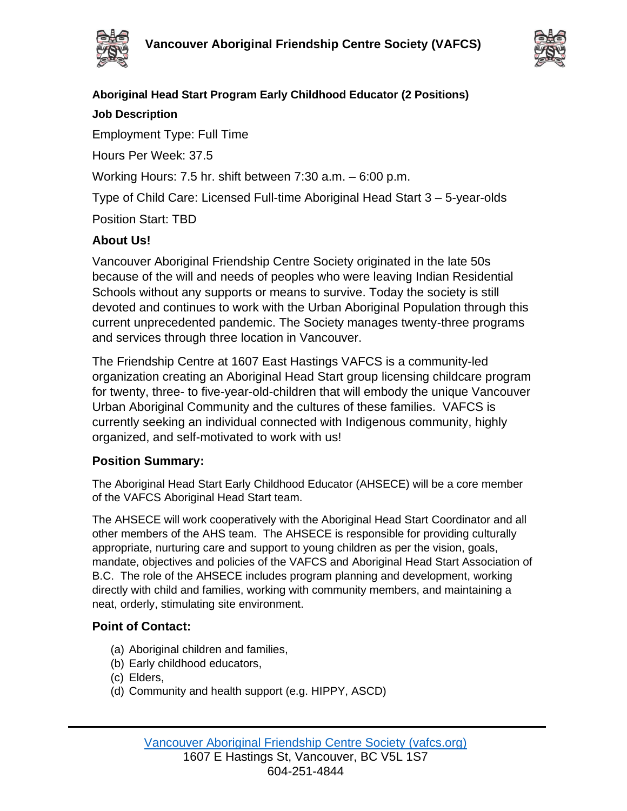



# **Aboriginal Head Start Program Early Childhood Educator (2 Positions)**

### **Job Description**

Employment Type: Full Time

Hours Per Week: 37.5

Working Hours: 7.5 hr. shift between 7:30 a.m. – 6:00 p.m.

Type of Child Care: Licensed Full-time Aboriginal Head Start 3 – 5-year-olds

Position Start: TBD

# **About Us!**

Vancouver Aboriginal Friendship Centre Society originated in the late 50s because of the will and needs of peoples who were leaving Indian Residential Schools without any supports or means to survive. Today the society is still devoted and continues to work with the Urban Aboriginal Population through this current unprecedented pandemic. The Society manages twenty-three programs and services through three location in Vancouver.

The Friendship Centre at 1607 East Hastings VAFCS is a community-led organization creating an Aboriginal Head Start group licensing childcare program for twenty, three- to five-year-old-children that will embody the unique Vancouver Urban Aboriginal Community and the cultures of these families. VAFCS is currently seeking an individual connected with Indigenous community, highly organized, and self-motivated to work with us!

# **Position Summary:**

The Aboriginal Head Start Early Childhood Educator (AHSECE) will be a core member of the VAFCS Aboriginal Head Start team.

The AHSECE will work cooperatively with the Aboriginal Head Start Coordinator and all other members of the AHS team. The AHSECE is responsible for providing culturally appropriate, nurturing care and support to young children as per the vision, goals, mandate, objectives and policies of the VAFCS and Aboriginal Head Start Association of B.C. The role of the AHSECE includes program planning and development, working directly with child and families, working with community members, and maintaining a neat, orderly, stimulating site environment.

### **Point of Contact:**

- (a) Aboriginal children and families,
- (b) Early childhood educators,
- (c) Elders,
- (d) Community and health support (e.g. HIPPY, ASCD)